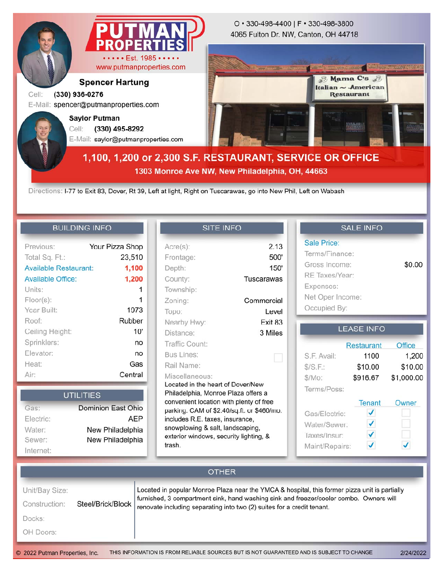

**1303 Monroe Ave NW, New Philadelphia, OH, 44663**

Directions: I-77 to Exit 83, Dover, Rt 39, Left at light, Right on Tuscarawas, go into New Phil, Left on Wabash

## **BUILDING INFO**

| Previous:                    | Your Pizza Shop |
|------------------------------|-----------------|
| Total Sq. Ft.:               | 23,510          |
| <b>Available Restaurant:</b> | 1,100           |
| <b>Available Office:</b>     | 1,200           |
| Units:                       | 1               |
| $Floor(s)$ :                 |                 |
| Year Built:                  | 1973            |
| Roof:                        | Rubber          |
| Ceiling Height:              | 10'             |
| Sprinklers:                  | no              |
| Elevator:                    | no              |
| Heat:                        | Gas             |
| Air:                         | Central         |

| <b>UTILITIES</b> |                    |  |
|------------------|--------------------|--|
| Gas:             | Dominion East Ohio |  |
| Electric:        | <b>AEP</b>         |  |
| Water:           | New Philadelphia   |  |
| Sewer:           | New Philadelphia   |  |
| Internet:        |                    |  |

## **SITE INFO**

| $Acre(s)$ :                                | 2.13       |  |  |  |
|--------------------------------------------|------------|--|--|--|
| Frontage:                                  | 500'       |  |  |  |
| Depth:                                     | 150'       |  |  |  |
| County:                                    | Tuscarawas |  |  |  |
| Township:                                  |            |  |  |  |
| Zoning:                                    | Commercial |  |  |  |
| Topo:                                      | Level      |  |  |  |
| Nearby Hwy:                                | Fxit 83    |  |  |  |
| Distance:                                  | 3 Miles    |  |  |  |
| Traffic Count:                             |            |  |  |  |
| <b>Bus Lines:</b>                          |            |  |  |  |
| Rail Name:                                 |            |  |  |  |
| Miscellaneous:                             |            |  |  |  |
| Located in the heart of Dover/New          |            |  |  |  |
| Philadelphia, Monroe Plaza offers a        |            |  |  |  |
| convenient location with plenty of free    |            |  |  |  |
| parking. CAM of \$2.40/sq.ft. or \$460/mo. |            |  |  |  |
| includes R.E. taxes, insurance,            |            |  |  |  |
| snowplowing & salt, landscaping,           |            |  |  |  |
| exterior windows, security lighting, &     |            |  |  |  |
| trash                                      |            |  |  |  |
|                                            |            |  |  |  |

# **SALE INFO**

| Sale Price:      |        |
|------------------|--------|
| Terms/Finance:   |        |
| Gross Income:    | \$0.00 |
| RE Taxes/Year:   |        |
| Expenses:        |        |
| Net Oper Income: |        |
| Occupied By:     |        |

#### **LEASE INFO**

|                | Restaurant | Office     |
|----------------|------------|------------|
| S.F. Avail:    | 1100       | 1,200      |
| S/S.F.:        | \$10.00    | \$10.00    |
| \$/Mo:         | \$916.67   | \$1,000.00 |
| Terms/Poss:    |            |            |
|                | Tenant     | Owner      |
| Gas/Electric:  |            |            |
| Water/Sewer:   |            |            |
| Taxes/Insur:   |            |            |
| Maint/Repairs: |            |            |

## **OTHER** Unit/Bay Size: Located in popular Monroe Plaza near the YMCA & hospital, this former pizza unit is partially furnished, 3 compartment sink, hand washing sink and freezer/cooler combo. Owners will Steel/Brick/Block Construction: renovate including separating into two (2) suites for a credit tenant. Docks: OH Doors: